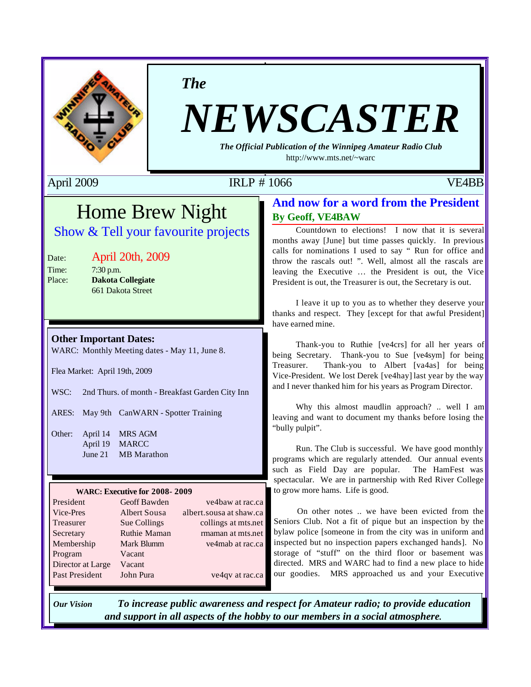

*The*

# *NEWSCASTER*

*The Official Publication of the Winnipeg Amateur Radio Club* http://www.mts.net/~warc

## April 2009 **IRLP # 1066** VE4BB

## Home Brew Night

## Show & Tell your favourite projects

## Date: April 20th, 2009

Time: 7:30 p.m. Place: **Dakota Collegiate** 661 Dakota Street

#### **Other Important Dates:**

WARC: Monthly Meeting dates - May 11, June 8.

Flea Market: April 19th, 2009

WSC: 2nd Thurs. of month - Breakfast Garden City Inn

ARES: May 9th CanWARN - Spotter Training

Other: April 14 MRS AGM April 19 MARCC June 21 MB Marathon

#### **WARC: Executive for 2008- 2009**

| Geoff Bawden        | ve4baw at rac.ca        |
|---------------------|-------------------------|
| <b>Albert Sousa</b> | albert.sousa at shaw.ca |
| Sue Collings        | collings at mts.net     |
| <b>Ruthie Maman</b> | rmaman at mts.net       |
| Mark Blumm          | ve4mab at rac.ca        |
| Vacant              |                         |
| Vacant              |                         |
| John Pura           | ve4qv at rac.ca         |
|                     |                         |

### **And now for a word from the President By Geoff, VE4BAW**

Countdown to elections! I now that it is several months away [June] but time passes quickly. In previous calls for nominations I used to say " Run for office and throw the rascals out! ". Well, almost all the rascals are leaving the Executive … the President is out, the Vice President is out, the Treasurer is out, the Secretary is out.

I leave it up to you as to whether they deserve your thanks and respect. They [except for that awful President] have earned mine.

Thank-you to Ruthie [ve4crs] for all her years of being Secretary. Thank-you to Sue [ve4sym] for being Treasurer. Thank-you to Albert [va4as] for being Vice-President. We lost Derek [ve4hay] last year by the way and I never thanked him for his years as Program Director.

Why this almost maudlin approach? .. well I am leaving and want to document my thanks before losing the "bully pulpit".

Run. The Club is successful. We have good monthly programs which are regularly attended. Our annual events such as Field Day are popular. The HamFest was spectacular. We are in partnership with Red River College to grow more hams. Life is good.

On other notes .. we have been evicted from the Seniors Club. Not a fit of pique but an inspection by the bylaw police [someone in from the city was in uniform and inspected but no inspection papers exchanged hands]. No storage of "stuff" on the third floor or basement was directed. MRS and WARC had to find a new place to hide our goodies. MRS approached us and your Executive

*Our Vision To increase public awareness and respect for Amateur radio; to provide education and support in all aspects of the hobby to our members in a social atmosphere.*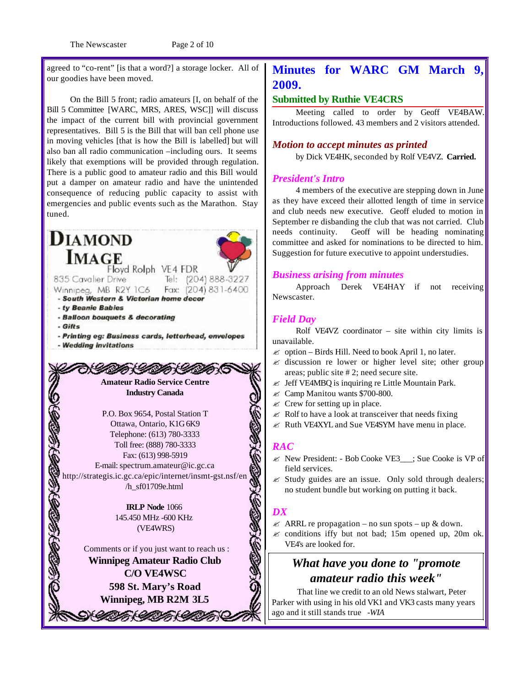The Newscaster Page 2 of 10

agreed to "co-rent" [is that a word?] a storage locker. All of our goodies have been moved.

On the Bill 5 front; radio amateurs [I, on behalf of the Bill 5 Committee [WARC, MRS, ARES, WSC]] will discuss the impact of the current bill with provincial government representatives. Bill 5 is the Bill that will ban cell phone use in moving vehicles [that is how the Bill is labelled] but will also ban all radio communication –including ours. It seems likely that exemptions will be provided through regulation. There is a public good to amateur radio and this Bill would put a damper on amateur radio and have the unintended consequence of reducing public capacity to assist with emergencies and public events such as the Marathon. Stay tuned.

#### **DIAMOND IMAGE** Floyd Rolph VE4 FDR 835 Cavalier Drive Tel: (204) 888-3227 Winnipeg, MB R2Y 1C6 Fax: (204) 831-6400 - South Western & Victorian home decor - ty Beanie Babies - Balloon bouquets & decorating  $-Giffs$ - Printing eg: Business cards, letterhead, envelopes - Wedding invitations M CAM C しんじんどうじょうしょう **Amateur Radio Service Centre Industry Canada** P.O. Box 9654, Postal Station T Ottawa, Ontario, K1G 6K9 Telephone: (613) 780-3333 Toll free: (888) 780-3333 Fax: (613) 998-5919 E-mail: spectrum.amateur@ic.gc.ca http://strategis.ic.gc.ca/epic/internet/insmt-gst.nsf/en /h\_sf01709e.html **IRLP Node** 1066 145.450 MHz -600 KHz (VE4WRS) Comments or if you just want to reach us : **Winnipeg Amateur Radio Club C/O VE4WSC 598 St. Mary's Road**

**Winnipeg, MB R2M 3L5**

CIA (CIA CIA

## **Minutes for WARC GM March 9, 2009.**

#### **Submitted by Ruthie VE4CRS**

Meeting called to order by Geoff VE4BAW. Introductions followed. 43 members and 2 visitors attended.

#### *Motion to accept minutes as printed*

by Dick VE4HK, seconded by Rolf VE4VZ. **Carried.**

#### *President's Intro*

4 members of the executive are stepping down in June as they have exceed their allotted length of time in service and club needs new executive. Geoff eluded to motion in September re disbanding the club that was not carried. Club needs continuity. Geoff will be heading nominating committee and asked for nominations to be directed to him. Suggestion for future executive to appoint understudies.

#### *Business arising from minutes*

Approach Derek VE4HAY if not receiving Newscaster.

#### *Field Day*

Rolf VE4VZ coordinator – site within city limits is unavailable.

- $\approx$  option Birds Hill. Need to book April 1, no later.
- $\mathscr A$  discussion re lower or higher level site; other group areas; public site # 2; need secure site.
- $\mathscr{L}$  Jeff VE4MBQ is inquiring re Little Mountain Park.
- $\mathscr{\mathscr{E}}$  Camp Manitou wants \$700-800.
- $\ll$  Crew for setting up in place.
- $\&$  Rolf to have a look at transceiver that needs fixing
- $\mathcal Z$  Ruth VE4XYL and Sue VE4SYM have menu in place.

#### *RAC*

- $\ll$  New President: Bob Cooke VE3\_\_; Sue Cooke is VP of field services.
- $\&$  Study guides are an issue. Only sold through dealers; no student bundle but working on putting it back.

#### *DX*

- $\mathscr{\mathscr{E}}$  ARRL re propagation no sun spots up & down.
- $\mathscr Z$  conditions iffy but not bad; 15m opened up, 20m ok. VE4's are looked for.

## *What have you done to "promote amateur radio this week"*

 That line we credit to an old News stalwart, Peter Parker with using in his old VK1 and VK3 casts many years ago and it still stands true *-WIA*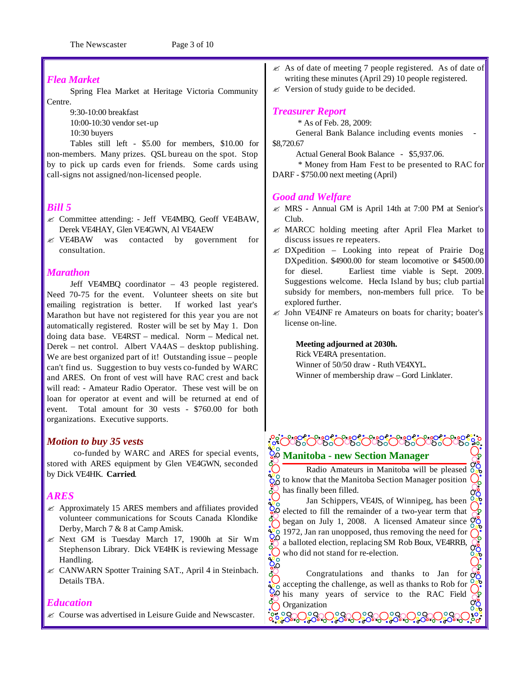#### *Flea Market*

Spring Flea Market at Heritage Victoria Community Centre.

9:30-10:00 breakfast

10:00-10:30 vendor set-up

10:30 buyers

Tables still left - \$5.00 for members, \$10.00 for non-members. Many prizes. QSL bureau on the spot. Stop by to pick up cards even for friends. Some cards using call-signs not assigned/non-licensed people.

#### *Bill 5*

- ? Committee attending: Jeff VE4MBQ, Geoff VE4BAW, Derek VE4HAY, Glen VE4GWN, Al VE4AEW
- ? VE4BAW was contacted by government for consultation.

#### *Marathon*

Jeff VE4MBQ coordinator – 43 people registered. Need 70-75 for the event. Volunteer sheets on site but emailing registration is better. If worked last year's Marathon but have not registered for this year you are not automatically registered. Roster will be set by May 1. Don doing data base. VE4RST – medical. Norm – Medical net. Derek – net control. Albert VA4AS – desktop publishing. We are best organized part of it! Outstanding issue – people can't find us. Suggestion to buy vests co-funded by WARC and ARES. On front of vest will have RAC crest and back will read: - Amateur Radio Operator. These vest will be on loan for operator at event and will be returned at end of event. Total amount for 30 vests - \$760.00 for both organizations. Executive supports.

#### *Motion to buy 35 vests*

co-funded by WARC and ARES for special events, stored with ARES equipment by Glen VE4GWN, seconded by Dick VE4HK. **Carried**.

#### *ARES*

- $\approx$  Approximately 15 ARES members and affiliates provided volunteer communications for Scouts Canada Klondike Derby, March 7 & 8 at Camp Amisk.
- ? Next GM is Tuesday March 17, 1900h at Sir Wm Stephenson Library. Dick VE4HK is reviewing Message Handling.
- $\&\&$  CANWARN Spotter Training SAT., April 4 in Steinbach. Details TBA.

#### *Education*

 $\epsilon$  Course was advertised in Leisure Guide and Newscaster.

- $\mathscr{\mathscr{E}}$  As of date of meeting 7 people registered. As of date of writing these minutes (April 29) 10 people registered.
- $\mathscr{\mathscr{E}}$  Version of study guide to be decided.

#### *Treasurer Report*

\* As of Feb. 28, 2009:

General Bank Balance including events monies \$8,720.67

Actual General Book Balance - \$5,937.06.

 \* Money from Ham Fest to be presented to RAC for DARF - \$750.00 next meeting (April)

#### *Good and Welfare*

- $\mathcal{L}$  MRS Annual GM is April 14th at 7:00 PM at Senior's Club.
- $\mathscr{L}$  MARCC holding meeting after April Flea Market to discuss issues re repeaters.
- $\&$  DXpedition Looking into repeat of Prairie Dog DXpedition. \$4900.00 for steam locomotive or \$4500.00 for diesel. Earliest time viable is Sept. 2009. Suggestions welcome. Hecla Island by bus; club partial subsidy for members, non-members full price. To be explored further.
- $\mathscr{\mathscr{E}}$  John VE4JNF re Amateurs on boats for charity; boater's license on-line.

#### **Meeting adjourned at 2030h.**

Rick VE4RA presentation. Winner of 50/50 draw - Ruth VE4XYL. Winner of membership draw – Gord Linklater.

## **Manitoba - new Section Manager**

Radio Amateurs in Manitoba will be pleased  $\frac{00}{000}$  $\frac{100}{20}$  to know that the Manitoba Section Manager position has finally been filled.

Jan Schippers, VE4JS, of Winnipeg, has been  $\overline{Q}$  elected to fill the remainder of a two-year term that began on July 1, 2008. A licensed Amateur since  $\frac{\partial Q}{\partial x}$  $\frac{180}{80}$  1972, Jan ran unopposed, thus removing the need for a balloted election, replacing SM Rob Boux, VE4RRB, 30.00 who did not stand for re-election.

Congratulations and thanks to Jan for  $\frac{8}{90}$ accepting the challenge, as well as thanks to Rob for  $\frac{1}{60}$  accepting the chancing  $\sqrt{60}$  accepting the chancing of service to the RAC Field Organization နိမ့်နိ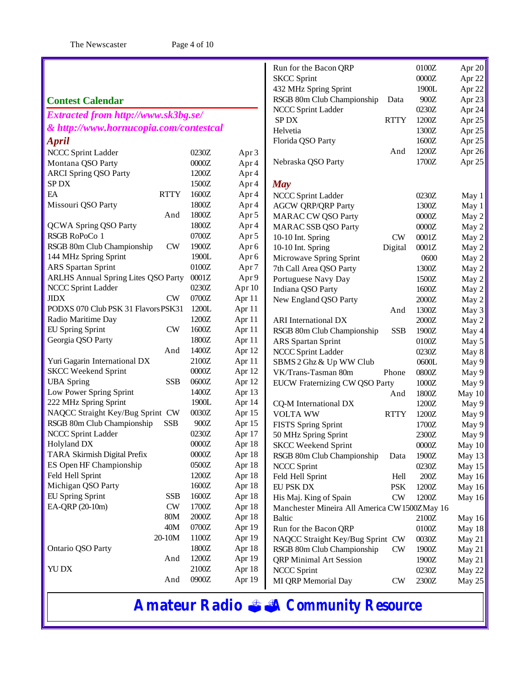|                                            |             |                |                  | Run for the Bacon QRP                         |               | 0100Z   | Apr 20   |
|--------------------------------------------|-------------|----------------|------------------|-----------------------------------------------|---------------|---------|----------|
|                                            |             |                |                  | <b>SKCC Sprint</b>                            |               | $0000Z$ | Apr 22   |
|                                            |             |                |                  | 432 MHz Spring Sprint                         |               | 1900L   | Apr 22   |
| <b>Contest Calendar</b>                    |             |                |                  | RSGB 80m Club Championship                    | Data          | 900Z    | Apr 23   |
| Extracted from http://www.sk3bg.se/        |             |                |                  | NCCC Sprint Ladder                            |               | 0230Z   | Apr 24   |
|                                            |             |                |                  | SP <sub>DX</sub>                              | <b>RTTY</b>   | 1200Z   | Apr $25$ |
| & http://www.hornucopia.com/contestcal     |             |                |                  | Helvetia                                      |               | 1300Z   | Apr $25$ |
| <b>April</b>                               |             |                |                  | Florida QSO Party                             |               | 1600Z   | Apr 25   |
| NCCC Sprint Ladder                         |             | 0230Z          | Apr 3            |                                               | And           | 1200Z   | Apr 26   |
| Montana QSO Party                          |             | $0000Z$        | Apr 4            | Nebraska QSO Party                            |               | 1700Z   | Apr 25   |
| <b>ARCI Spring QSO Party</b>               |             | 1200Z          | Apr 4            |                                               |               |         |          |
| SP <sub>DX</sub>                           |             | 1500Z          | Apr 4            | <b>May</b>                                    |               |         |          |
| EA                                         | <b>RTTY</b> | 1600Z          | Apr 4            | NCCC Sprint Ladder                            |               | 0230Z   | May 1    |
| Missouri QSO Party                         |             | 1800Z          | Apr 4            | <b>AGCW QRP/QRP Party</b>                     |               | 1300Z   | May 1    |
|                                            | And         | 1800Z          | Apr 5            | <b>MARAC CW QSO Party</b>                     |               | 0000Z   | May 2    |
| <b>QCWA Spring QSO Party</b>               |             | 1800Z          | Apr 4            | <b>MARAC SSB QSO Party</b>                    |               | 0000Z   | May $2$  |
| RSGB RoPoCo 1                              |             | 0700Z          | Apr 5            | 10-10 Int. Spring                             | <b>CW</b>     | 0001Z   | May 2    |
| RSGB 80m Club Championship                 | <b>CW</b>   | 1900Z          | Apr <sub>6</sub> | 10-10 Int. Spring                             | Digital       | 0001Z   | May 2    |
| 144 MHz Spring Sprint                      |             | 1900L          | Apr <sub>6</sub> | Microwave Spring Sprint                       |               | 0600    | May 2    |
| ARS Spartan Sprint                         |             | 0100Z          | Apr <sub>7</sub> | 7th Call Area QSO Party                       |               | 1300Z   | May 2    |
| <b>ARLHS Annual Spring Lites QSO Party</b> |             | 0001Z          | Apr 9            | Portuguese Navy Day                           |               | 1500Z   | May 2    |
| NCCC Sprint Ladder                         |             | 0230Z          | Apr 10           | Indiana QSO Party                             |               | 1600Z   | May 2    |
| <b>JIDX</b>                                | <b>CW</b>   | 0700Z          | Apr 11           | New England QSO Party                         |               | $2000Z$ | May 2    |
| PODXS 070 Club PSK 31 Flavors PSK31        |             | 1200L          | Apr 11           |                                               | And           | 1300Z   | May 3    |
| Radio Maritime Day                         |             | 1200Z          | Apr 11           | <b>ARI</b> International DX                   |               | 2000Z   | May 2    |
| EU Spring Sprint                           | <b>CW</b>   | 1600Z          | Apr 11           | RSGB 80m Club Championship                    | <b>SSB</b>    | 1900Z   | May 4    |
| Georgia QSO Party                          |             | 1800Z          | Apr 11           | <b>ARS</b> Spartan Sprint                     |               | 0100Z   | May 5    |
|                                            | And         | 1400Z          | Apr 12           | NCCC Sprint Ladder                            |               | 0230Z   | May 8    |
| Yuri Gagarin International DX              |             | 2100Z          | Apr 11           | SBMS 2 Ghz & Up WW Club                       |               | 0600L   | May 9    |
| <b>SKCC Weekend Sprint</b>                 |             | 0000Z          | Apr 12           | VK/Trans-Tasman 80m                           | Phone         | 0800Z   | May 9    |
| <b>UBA</b> Spring                          | <b>SSB</b>  | 0600Z          | Apr 12           | EUCW Fraternizing CW QSO Party                |               | 1000Z   | May 9    |
| Low Power Spring Sprint                    |             | 1400Z          | Apr 13           |                                               | And           | 1800Z   | May $10$ |
| 222 MHz Spring Sprint                      |             | 1900L          | Apr 14           | CQ-M International DX                         |               | 1200Z   | May 9    |
| NAQCC Straight Key/Bug Sprint CW           |             | 0030Z          | Apr 15           | <b>VOLTA WW</b>                               | <b>RTTY</b>   | 1200Z   | May 9    |
| RSGB 80m Club Championship                 | <b>SSB</b>  | 900Z           | Apr 15           | <b>FISTS Spring Sprint</b>                    |               | 1700Z   | May 9    |
| NCCC Sprint Ladder                         |             | 0230Z          | Apr 17           | 50 MHz Spring Sprint                          |               | 2300Z   | May 9    |
| Holyland DX                                |             | 0000Z          | Apr 18           | <b>SKCC Weekend Sprint</b>                    |               | 0000Z   | May 10   |
| TARA Skirmish Digital Prefix               |             | $0000Z$        | Apr 18           | RSGB 80m Club Championship                    | Data          | 1900Z   | May 13   |
| ES Open HF Championship                    |             | 0500Z          | Apr 18           | <b>NCCC Sprint</b>                            |               | 0230Z   | May 15   |
| Feld Hell Sprint                           |             | 1200Z          | Apr 18           | Feld Hell Sprint                              | Hell          | $200Z$  | May 16   |
| Michigan QSO Party                         |             | 1600Z          | Apr 18           | EU PSK DX                                     | <b>PSK</b>    | 1200Z   | May 16   |
| EU Spring Sprint                           | <b>SSB</b>  | 1600Z          | Apr 18           | His Maj. King of Spain                        | $\mathrm{CW}$ | 1200Z   | May 16   |
| EA-QRP (20-10m)                            | <b>CW</b>   | 1700Z          | Apr 18           | Manchester Mineira All America CW 1500ZMay 16 |               |         |          |
|                                            | 80M         | 2000Z          | Apr 18           | <b>Baltic</b>                                 |               | 2100Z   | May 16   |
|                                            | 40M         | 0700Z          | Apr 19           | Run for the Bacon QRP                         |               | $0100Z$ | May 18   |
|                                            | 20-10M      | 1100Z          | Apr 19           | NAQCC Straight Key/Bug Sprint CW              |               | 0030Z   | May 21   |
| Ontario QSO Party                          |             | 1800Z          | Apr 18           | RSGB 80m Club Championship                    | CW            | 1900Z   | May 21   |
|                                            | And         | 1200Z          | Apr 19           | <b>QRP</b> Minimal Art Session                |               | 1900Z   | May 21   |
| YU DX                                      |             | 2100Z<br>0900Z | Apr 18           | <b>NCCC Sprint</b>                            |               | 0230Z   | May 22   |
|                                            | And         |                | Apr 19           | MI QRP Memorial Day                           | CW            | 2300Z   | May 25   |

## **Amateur Radio** *??A Community Resource*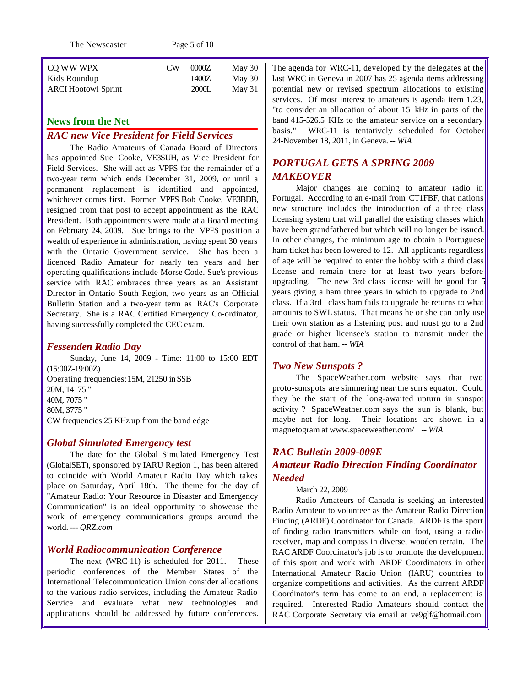The Newscaster Page 5 of 10

| CW | 0000Z | May 30 |
|----|-------|--------|
|    | 1400Z | May 30 |
|    | 2000L | May 31 |
|    |       |        |

#### **News from the Net**

#### *RAC new Vice President for Field Services*

The Radio Amateurs of Canada Board of Directors has appointed Sue Cooke, VE3SUH, as Vice President for Field Services. She will act as VPFS for the remainder of a two-year term which ends December 31, 2009, or until a permanent replacement is identified and appointed, whichever comes first. Former VPFS Bob Cooke, VE3BDB, resigned from that post to accept appointment as the RAC President. Both appointments were made at a Board meeting on February 24, 2009. Sue brings to the VPFS position a wealth of experience in administration, having spent 30 years with the Ontario Government service. She has been a licenced Radio Amateur for nearly ten years and her operating qualifications include Morse Code. Sue's previous service with RAC embraces three years as an Assistant Director in Ontario South Region, two years as an Official Bulletin Station and a two-year term as RAC's Corporate Secretary. She is a RAC Certified Emergency Co-ordinator, having successfully completed the CEC exam.

#### *Fessenden Radio Day*

Sunday, June 14, 2009 - Time: 11:00 to 15:00 EDT (15:00Z-19:00Z) Operating frequencies:15M, 21250 in SSB 20M, 14175 " 40M, 7075 " 80M, 3775 " CW frequencies 25 KHz up from the band edge

#### *Global Simulated Emergency test*

The date for the Global Simulated Emergency Test (GlobalSET), sponsored by IARU Region 1, has been altered to coincide with World Amateur Radio Day which takes place on Saturday, April 18th. The theme for the day of "Amateur Radio: Your Resource in Disaster and Emergency Communication" is an ideal opportunity to showcase the work of emergency communications groups around the world. *--- QRZ.com*

#### *World Radiocommunication Conference*

The next (WRC-11) is scheduled for 2011. These periodic conferences of the Member States of the International Telecommunication Union consider allocations to the various radio services, including the Amateur Radio Service and evaluate what new technologies and applications should be addressed by future conferences.

The agenda for WRC-11, developed by the delegates at the last WRC in Geneva in 2007 has 25 agenda items addressing potential new or revised spectrum allocations to existing services. Of most interest to amateurs is agenda item 1.23, "to consider an allocation of about 15 kHz in parts of the band 415-526.5 KHz to the amateur service on a secondary basis." WRC-11 is tentatively scheduled for October 24-November 18, 2011, in Geneva. *-- WIA*

#### *PORTUGAL GETS A SPRING 2009 MAKEOVER*

Major changes are coming to amateur radio in Portugal. According to an e-mail from CT1FBF, that nations new structure includes the introduction of a three class licensing system that will parallel the existing classes which have been grandfathered but which will no longer be issued. In other changes, the minimum age to obtain a Portuguese ham ticket has been lowered to 12. All applicants regardless of age will be required to enter the hobby with a third class license and remain there for at least two years before upgrading. The new 3rd class license will be good for 5 years giving a ham three years in which to upgrade to 2nd class. If a 3rd class ham fails to upgrade he returns to what amounts to SWL status. That means he or she can only use their own station as a listening post and must go to a 2nd grade or higher licensee's station to transmit under the control of that ham. *-- WIA*

#### *Two New Sunspots ?*

The SpaceWeather.com website says that two proto-sunspots are simmering near the sun's equator. Could they be the start of the long-awaited upturn in sunspot activity ? SpaceWeather.com says the sun is blank, but maybe not for long. Their locations are shown in a magnetogram at www.spaceweather.com/ *-- WIA*

#### *RAC Bulletin 2009-009E Amateur Radio Direction Finding Coordinator Needed*

#### March 22, 2009

Radio Amateurs of Canada is seeking an interested Radio Amateur to volunteer as the Amateur Radio Direction Finding (ARDF) Coordinator for Canada. ARDF is the sport of finding radio transmitters while on foot, using a radio receiver, map and compass in diverse, wooden terrain. The RAC ARDF Coordinator's job is to promote the development of this sport and work with ARDF Coordinators in other International Amateur Radio Union (IARU) countries to organize competitions and activities. As the current ARDF Coordinator's term has come to an end, a replacement is required. Interested Radio Amateurs should contact the RAC Corporate Secretary via email at ve9glf@hotmail.com.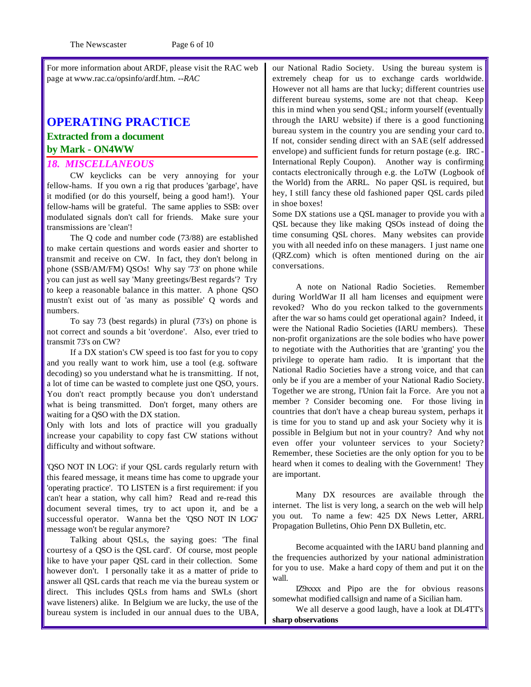For more information about ARDF, please visit the RAC web page at www.rac.ca/opsinfo/ardf.htm. *--RAC*

## **OPERATING PRACTICE Extracted from a document by Mark - ON4WW**

#### *18. MISCELLANEOUS*

CW keyclicks can be very annoying for your fellow-hams. If you own a rig that produces 'garbage', have it modified (or do this yourself, being a good ham!). Your fellow-hams will be grateful. The same applies to SSB: over modulated signals don't call for friends. Make sure your transmissions are 'clean'!

The Q code and number code (73/88) are established to make certain questions and words easier and shorter to transmit and receive on CW. In fact, they don't belong in phone (SSB/AM/FM) QSOs! Why say '73' on phone while you can just as well say 'Many greetings/Best regards'? Try to keep a reasonable balance in this matter. A phone QSO mustn't exist out of 'as many as possible' Q words and numbers.

To say 73 (best regards) in plural (73's) on phone is not correct and sounds a bit 'overdone'. Also, ever tried to transmit 73's on CW?

If a DX station's CW speed is too fast for you to copy and you really want to work him, use a tool (e.g. software decoding) so you understand what he is transmitting. If not, a lot of time can be wasted to complete just one QSO, yours. You don't react promptly because you don't understand what is being transmitted. Don't forget, many others are waiting for a QSO with the DX station.

Only with lots and lots of practice will you gradually increase your capability to copy fast CW stations without difficulty and without software.

'QSO NOT IN LOG': if your QSL cards regularly return with this feared message, it means time has come to upgrade your 'operating practice'. TO LISTEN is a first requirement: if you can't hear a station, why call him? Read and re-read this document several times, try to act upon it, and be a successful operator. Wanna bet the 'QSO NOT IN LOG' message won't be regular anymore?

Talking about QSLs, the saying goes: 'The final courtesy of a QSO is the QSL card'. Of course, most people like to have your paper QSL card in their collection. Some however don't. I personally take it as a matter of pride to answer all QSL cards that reach me via the bureau system or direct. This includes QSLs from hams and SWLs (short wave listeners) alike. In Belgium we are lucky, the use of the bureau system is included in our annual dues to the UBA, our National Radio Society. Using the bureau system is extremely cheap for us to exchange cards worldwide. However not all hams are that lucky; different countries use different bureau systems, some are not that cheap. Keep this in mind when you send QSL; inform yourself (eventually through the IARU website) if there is a good functioning bureau system in the country you are sending your card to. If not, consider sending direct with an SAE (self addressed envelope) and sufficient funds for return postage (e.g. IRC - International Reply Coupon). Another way is confirming contacts electronically through e.g. the LoTW (Logbook of the World) from the ARRL. No paper QSL is required, but hey, I still fancy these old fashioned paper QSL cards piled in shoe boxes!

Some DX stations use a QSL manager to provide you with a QSL because they like making QSOs instead of doing the time consuming QSL chores. Many websites can provide you with all needed info on these managers. I just name one (QRZ.com) which is often mentioned during on the air conversations.

A note on National Radio Societies. Remember during WorldWar II all ham licenses and equipment were revoked? Who do you reckon talked to the governments after the war so hams could get operational again? Indeed, it were the National Radio Societies (IARU members). These non-profit organizations are the sole bodies who have power to negotiate with the Authorities that are 'granting' you the privilege to operate ham radio. It is important that the National Radio Societies have a strong voice, and that can only be if you are a member of your National Radio Society. Together we are strong, l'Union fait la Force. Are you not a member ? Consider becoming one. For those living in countries that don't have a cheap bureau system, perhaps it is time for you to stand up and ask your Society why it is possible in Belgium but not in your country? And why not even offer your volunteer services to your Society? Remember, these Societies are the only option for you to be heard when it comes to dealing with the Government! They are important.

Many DX resources are available through the internet. The list is very long, a search on the web will help you out. To name a few: 425 DX News Letter, ARRL Propagation Bulletins, Ohio Penn DX Bulletin, etc.

Become acquainted with the IARU band planning and the frequencies authorized by your national administration for you to use. Make a hard copy of them and put it on the wall.

IZ9xxxx and Pipo are the for obvious reasons somewhat modified callsign and name of a Sicilian ham.

We all deserve a good laugh, have a look at DL4TT's **sharp observations**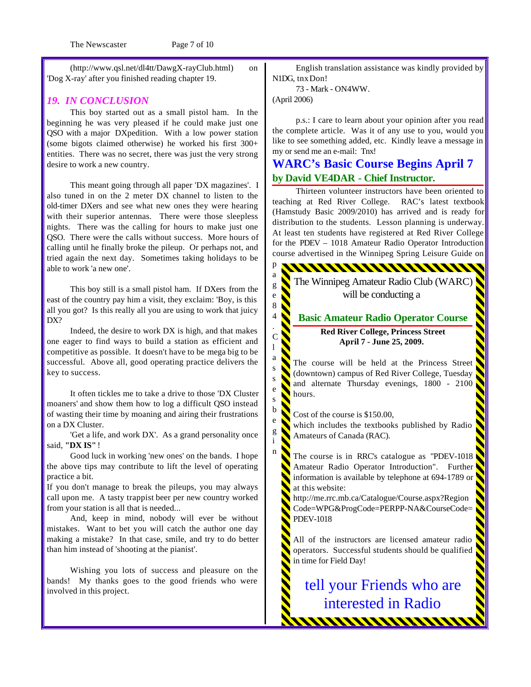The Newscaster Page 7 of 10

(http://www.qsl.net/dl4tt/DawgX-rayClub.html) on 'Dog X-ray' after you finished reading chapter 19.

#### *19. IN CONCLUSION*

This boy started out as a small pistol ham. In the beginning he was very pleased if he could make just one QSO with a major DXpedition. With a low power station (some bigots claimed otherwise) he worked his first 300+ entities. There was no secret, there was just the very strong desire to work a new country.

This meant going through all paper 'DX magazines'. I also tuned in on the 2 meter DX channel to listen to the old-timer DXers and see what new ones they were hearing with their superior antennas. There were those sleepless nights. There was the calling for hours to make just one QSO. There were the calls without success. More hours of calling until he finally broke the pileup. Or perhaps not, and tried again the next day. Sometimes taking holidays to be able to work 'a new one'.

This boy still is a small pistol ham. If DXers from the east of the country pay him a visit, they exclaim: 'Boy, is this all you got? Is this really all you are using to work that juicy DX?

Indeed, the desire to work DX is high, and that makes one eager to find ways to build a station as efficient and competitive as possible. It doesn't have to be mega big to be successful. Above all, good operating practice delivers the key to success.

It often tickles me to take a drive to those 'DX Cluster moaners' and show them how to log a difficult QSO instead of wasting their time by moaning and airing their frustrations on a DX Cluster.

'Get a life, and work DX'. As a grand personality once said, **"DX IS"** !

Good luck in working 'new ones' on the bands. I hope the above tips may contribute to lift the level of operating practice a bit.

If you don't manage to break the pileups, you may always call upon me. A tasty trappist beer per new country worked from your station is all that is needed...

And, keep in mind, nobody will ever be without mistakes. Want to bet you will catch the author one day making a mistake? In that case, smile, and try to do better than him instead of 'shooting at the pianist'.

Wishing you lots of success and pleasure on the bands! My thanks goes to the good friends who were involved in this project.

English translation assistance was kindly provided by N1DG, tnx Don!

73 - Mark - ON4WW.

(April 2006)

p a g e 8 4 . C l a s s e s b e g i n

p.s.: I care to learn about your opinion after you read the complete article. Was it of any use to you, would you like to see something added, etc. Kindly leave a message in my or send me an e-mail: Tnx!

### **WARC's Basic Course Begins April 7 by David VE4DAR - Chief Instructor.**

Thirteen volunteer instructors have been oriented to teaching at Red River College. RAC's latest textbook (Hamstudy Basic 2009/2010) has arrived and is ready for distribution to the students. Lesson planning is underway. At least ten students have registered at Red River College for the PDEV – 1018 Amateur Radio Operator Introduction course advertised in the Winnipeg Spring Leisure Guide on

The Winnipeg Amateur Radio Club (WARC) will be conducting a

#### **Basic Amateur Radio Operator Course Red River College, Princess Street April 7 - June 25, 2009.**

The course will be held at the Princess Street (downtown) campus of Red River College, Tuesday and alternate Thursday evenings, 1800 - 2100 hours.

Cost of the course is \$150.00,

which includes the textbooks published by Radio Amateurs of Canada (RAC).

The course is in RRC's catalogue as "PDEV-1018 Amateur Radio Operator Introduction". Further information is available by telephone at 694-1789 or at this website:

http://me.rrc.mb.ca/Catalogue/Course.aspx?Region Code=WPG&ProgCode=PERPP-NA&CourseCode= PDEV-1018

All of the instructors are licensed amateur radio operators. Successful students should be qualified in time for Field Day!

tell your Friends who are interested in Radio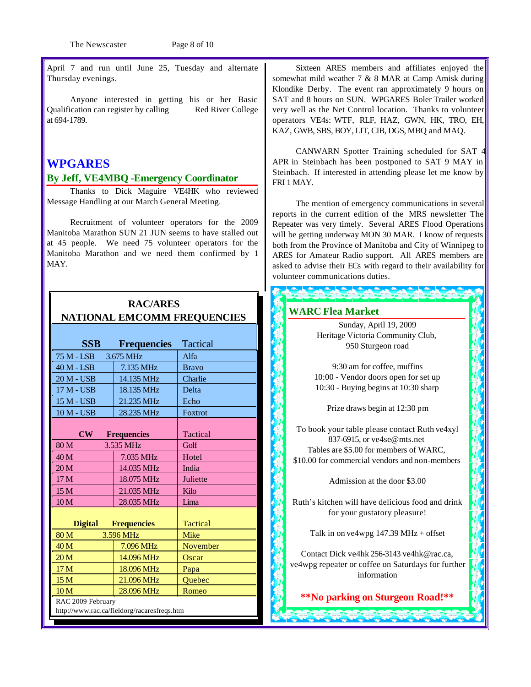The Newscaster Page 8 of 10

April 7 and run until June 25, Tuesday and alternate Thursday evenings.

Anyone interested in getting his or her Basic Qualification can register by calling Red River College at 694-1789.

#### **WPGARES**

#### **By Jeff, VE4MBQ -Emergency Coordinator**

Thanks to Dick Maguire VE4HK who reviewed Message Handling at our March General Meeting.

Recruitment of volunteer operators for the 2009 Manitoba Marathon SUN 21 JUN seems to have stalled out at 45 people. We need 75 volunteer operators for the Manitoba Marathon and we need them confirmed by 1 MAY.

**RAC/ARES**

|                                             | NATIONAL EMCOMM FREQUENCIES |                 |  |  |  |
|---------------------------------------------|-----------------------------|-----------------|--|--|--|
|                                             |                             |                 |  |  |  |
| <b>SSB</b>                                  | <b>Frequencies</b>          | <b>Tactical</b> |  |  |  |
| 75 M - LSB                                  | 3.675 MHz                   | Alfa            |  |  |  |
| 40 M - LSB                                  | 7.135 MHz                   | <b>Bravo</b>    |  |  |  |
| 20 M - USB                                  | 14.135 MHz                  | Charlie         |  |  |  |
| 17 M - USB                                  | 18.135 MHz                  | Delta           |  |  |  |
| 15 M - USB                                  | 21.235 MHz                  | Echo            |  |  |  |
| 10 M - USB                                  | 28.235 MHz                  | Foxtrot         |  |  |  |
|                                             |                             |                 |  |  |  |
| $\overline{\bf CW}$                         | <b>Frequencies</b>          | Tactical        |  |  |  |
| 80 M                                        | 3.535 MHz                   | Golf            |  |  |  |
| 40 M                                        | 7.035 MHz                   | Hotel           |  |  |  |
| 20 <sub>M</sub>                             | 14.035 MHz                  | India           |  |  |  |
| 17 M                                        | 18.075 MHz                  | Juliette        |  |  |  |
| 15 M                                        | 21.035 MHz                  | Kilo            |  |  |  |
| 10 <sub>M</sub>                             | 28.035 MHz                  | Lima            |  |  |  |
|                                             |                             |                 |  |  |  |
| <b>Digital</b>                              | <b>Frequencies</b>          | Tactical        |  |  |  |
| 80 M<br>3.596 MHz                           |                             | <b>Mike</b>     |  |  |  |
| 40 <sub>M</sub>                             | 7.096 MHz                   | November        |  |  |  |
| 20 <sub>M</sub>                             | 14.096 MHz                  | Oscar           |  |  |  |
| 17 M                                        | 18.096 MHz                  | Papa            |  |  |  |
| 15 M                                        | 21.096 MHz                  | Quebec          |  |  |  |
| 10 <sub>M</sub>                             | 28.096 MHz                  | Romeo           |  |  |  |
| RAC 2009 February                           |                             |                 |  |  |  |
| http://www.rac.ca/fieldorg/racaresfreqs.htm |                             |                 |  |  |  |

Sixteen ARES members and affiliates enjoyed the somewhat mild weather 7 & 8 MAR at Camp Amisk during Klondike Derby. The event ran approximately 9 hours on SAT and 8 hours on SUN. WPGARES Boler Trailer worked very well as the Net Control location. Thanks to volunteer operators VE4s: WTF, RLF, HAZ, GWN, HK, TRO, EH, KAZ, GWB, SBS, BOY, LIT, CIB, DGS, MBQ and MAQ.

CANWARN Spotter Training scheduled for SAT 4 APR in Steinbach has been postponed to SAT 9 MAY in Steinbach. If interested in attending please let me know by FRI 1 MAY.

The mention of emergency communications in several reports in the current edition of the MRS newsletter The Repeater was very timely. Several ARES Flood Operations will be getting underway MON 30 MAR. I know of requests both from the Province of Manitoba and City of Winnipeg to ARES for Amateur Radio support. All ARES members are asked to advise their ECs with regard to their availability for volunteer communications duties.

#### **NATIONAL EMPLOYEES**

Sunday, April 19, 2009 Heritage Victoria Community Club, 950 Sturgeon road

9:30 am for coffee, muffins 10:00 - Vendor doors open for set up 10:30 - Buying begins at 10:30 sharp

Prize draws begin at 12:30 pm

To book your table please contact Ruth ve4xyl 837-6915, or ve4se@mts.net Tables are \$5.00 for members of WARC, \$10.00 for commercial vendors and non-members

Admission at the door \$3.00

Ruth's kitchen will have delicious food and drink for your gustatory pleasure!

Talk in on ve4wpg  $147.39$  MHz + offset

Contact Dick ve4hk 256-3143 ve4hk@rac.ca, ve4wpg repeater or coffee on Saturdays for further information

**\*\*No parking on Sturgeon Road!\*\***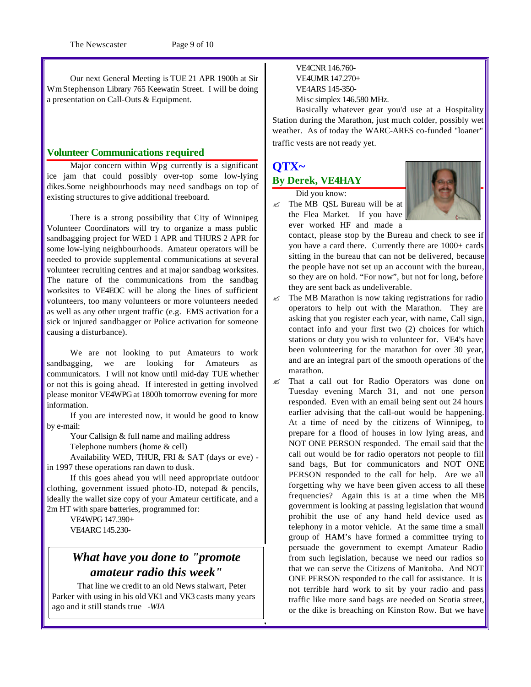Our next General Meeting is TUE 21 APR 1900h at Sir WmStephenson Library 765 Keewatin Street. I will be doing a presentation on Call-Outs & Equipment.

#### **Volunteer Communications required**

Major concern within Wpg currently is a significant ice jam that could possibly over-top some low-lying dikes.Some neighbourhoods may need sandbags on top of existing structures to give additional freeboard.

There is a strong possibility that City of Winnipeg Volunteer Coordinators will try to organize a mass public sandbagging project for WED 1 APR and THURS 2 APR for some low-lying neighbourhoods. Amateur operators will be needed to provide supplemental communications at several volunteer recruiting centres and at major sandbag worksites. The nature of the communications from the sandbag worksites to VE4EOC will be along the lines of sufficient volunteers, too many volunteers or more volunteers needed as well as any other urgent traffic (e.g. EMS activation for a sick or injured sandbagger or Police activation for someone causing a disturbance).

We are not looking to put Amateurs to work sandbagging, we are looking for Amateurs as communicators. I will not know until mid-day TUE whether or not this is going ahead. If interested in getting involved please monitor VE4WPG at 1800h tomorrow evening for more information.

If you are interested now, it would be good to know by e-mail:

Your Callsign & full name and mailing address

Telephone numbers (home & cell)

Availability WED, THUR, FRI & SAT (days or eve) in 1997 these operations ran dawn to dusk.

If this goes ahead you will need appropriate outdoor clothing, government issued photo-ID, notepad & pencils, ideally the wallet size copy of your Amateur certificate, and a 2m HT with spare batteries, programmed for:

> VE4WPG 147.390+ VE4ARC 145.230-

## *What have you done to "promote amateur radio this week"*

 That line we credit to an old News stalwart, Peter Parker with using in his old VK1 and VK3 casts many years ago and it still stands true *-WIA*

VE4CNR 146.760- VE4UMR 147.270+ VE4ARS 145-350- Misc simplex 146.580 MHz.

Basically whatever gear you'd use at a Hospitality Station during the Marathon, just much colder, possibly wet weather. As of today the WARC-ARES co-funded "loaner" traffic vests are not ready yet.

### **QTX~ By Derek, VE4HAY**

Did you know:

 $\mathscr{L}$  The MB QSL Bureau will be at the Flea Market. If you have ever worked HF and made a



contact, please stop by the Bureau and check to see if you have a card there. Currently there are  $1000+$  cards sitting in the bureau that can not be delivered, because the people have not set up an account with the bureau, so they are on hold. "For now", but not for long, before they are sent back as undeliverable.

- $\mathscr{L}$  The MB Marathon is now taking registrations for radio operators to help out with the Marathon. They are asking that you register each year, with name, Call sign, contact info and your first two (2) choices for which stations or duty you wish to volunteer for. VE4's have been volunteering for the marathon for over 30 year, and are an integral part of the smooth operations of the marathon.
- $\ll$  That a call out for Radio Operators was done on Tuesday evening March 31, and not one person responded. Even with an email being sent out 24 hours earlier advising that the call-out would be happening. At a time of need by the citizens of Winnipeg, to prepare for a flood of houses in low lying areas, and NOT ONE PERSON responded. The email said that the call out would be for radio operators not people to fill sand bags, But for communicators and NOT ONE PERSON responded to the call for help. Are we all forgetting why we have been given access to all these frequencies? Again this is at a time when the MB government is looking at passing legislation that wound prohibit the use of any hand held device used as telephony in a motor vehicle. At the same time a small group of HAM's have formed a committee trying to persuade the government to exempt Amateur Radio from such legislation, because we need our radios so that we can serve the Citizens of Manitoba. And NOT ONE PERSON responded to the call for assistance. It is not terrible hard work to sit by your radio and pass traffic like more sand bags are needed on Scotia street, or the dike is breaching on Kinston Row. But we have